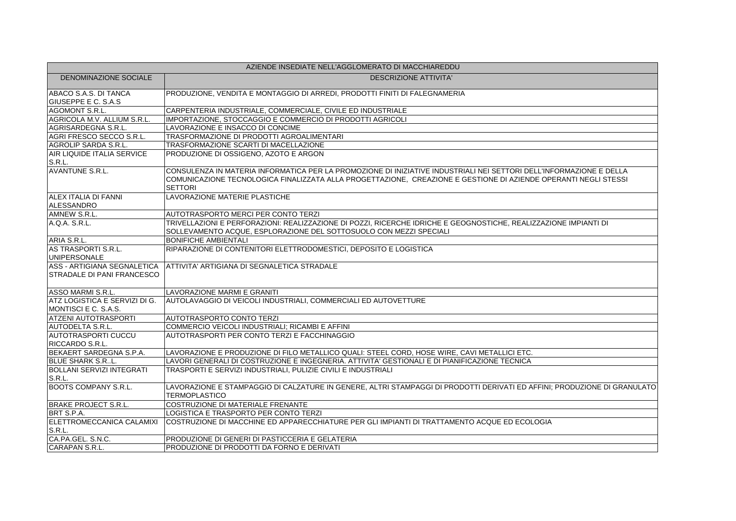| AZIENDE INSEDIATE NELL'AGGLOMERATO DI MACCHIAREDDU               |                                                                                                                                                                                                                                                          |
|------------------------------------------------------------------|----------------------------------------------------------------------------------------------------------------------------------------------------------------------------------------------------------------------------------------------------------|
| <b>DENOMINAZIONE SOCIALE</b>                                     | <b>DESCRIZIONE ATTIVITA'</b>                                                                                                                                                                                                                             |
| ABACO S.A.S. DI TANCA<br><b>GIUSEPPE E C. S.A.S</b>              | PRODUZIONE, VENDITA E MONTAGGIO DI ARREDI, PRODOTTI FINITI DI FALEGNAMERIA                                                                                                                                                                               |
| AGOMONT S.R.L.                                                   | CARPENTERIA INDUSTRIALE, COMMERCIALE, CIVILE ED INDUSTRIALE                                                                                                                                                                                              |
| AGRICOLA M.V. ALLIUM S.R.L.                                      | IMPORTAZIONE, STOCCAGGIO E COMMERCIO DI PRODOTTI AGRICOLI                                                                                                                                                                                                |
| AGRISARDEGNA S.R.L.                                              | LAVORAZIONE E INSACCO DI CONCIME                                                                                                                                                                                                                         |
| AGRI FRESCO SECCO S.R.L.                                         | TRASFORMAZIONE DI PRODOTTI AGROALIMENTARI                                                                                                                                                                                                                |
| AGROLIP SARDA S.R.L.                                             | TRASFORMAZIONE SCARTI DI MACELLAZIONE                                                                                                                                                                                                                    |
| AIR LIQUIDE ITALIA SERVICE<br>S.R.L.                             | PRODUZIONE DI OSSIGENO, AZOTO E ARGON                                                                                                                                                                                                                    |
| <b>AVANTUNE S.R.L.</b>                                           | CONSULENZA IN MATERIA INFORMATICA PER LA PROMOZIONE DI INIZIATIVE INDUSTRIALI NEI SETTORI DELL'INFORMAZIONE E DELLA<br>COMUNICAZIONE TECNOLOGICA FINALIZZATA ALLA PROGETTAZIONE, CREAZIONE E GESTIONE DI AZIENDE OPERANTI NEGLI STESSI<br><b>SETTORI</b> |
| ALEX ITALIA DI FANNI<br>ALESSANDRO                               | LAVORAZIONE MATERIE PLASTICHE                                                                                                                                                                                                                            |
| AMNEW S.R.L.                                                     | AUTOTRASPORTO MERCI PER CONTO TERZI                                                                                                                                                                                                                      |
| A.Q.A. S.R.L.                                                    | TRIVELLAZIONI E PERFORAZIONI: REALIZZAZIONE DI POZZI, RICERCHE IDRICHE E GEOGNOSTICHE, REALIZZAZIONE IMPIANTI DI<br>SOLLEVAMENTO ACQUE, ESPLORAZIONE DEL SOTTOSUOLO CON MEZZI SPECIALI                                                                   |
| ARIA S.R.L.                                                      | <b>BONIFICHE AMBIENTALI</b>                                                                                                                                                                                                                              |
| AS TRASPORTI S.R.L.<br><b>UNIPERSONALE</b>                       | RIPARAZIONE DI CONTENITORI ELETTRODOMESTICI, DEPOSITO E LOGISTICA                                                                                                                                                                                        |
| ASS - ARTIGIANA SEGNALETICA<br><b>STRADALE DI PANI FRANCESCO</b> | ATTIVITA' ARTIGIANA DI SEGNALETICA STRADALE                                                                                                                                                                                                              |
| ASSO MARMI S.R.L.                                                | LAVORAZIONE MARMI E GRANITI                                                                                                                                                                                                                              |
| ATZ LOGISTICA E SERVIZI DI G.<br>MONTISCI E C. S.A.S.            | AUTOLAVAGGIO DI VEICOLI INDUSTRIALI, COMMERCIALI ED AUTOVETTURE                                                                                                                                                                                          |
| <b>ATZENI AUTOTRASPORTI</b>                                      | <b>AUTOTRASPORTO CONTO TERZI</b>                                                                                                                                                                                                                         |
| AUTODELTA S.R.L.                                                 | COMMERCIO VEICOLI INDUSTRIALI; RICAMBI E AFFINI                                                                                                                                                                                                          |
| <b>AUTOTRASPORTI CUCCU</b><br>RICCARDO S.R.L.                    | AUTOTRASPORTI PER CONTO TERZI E FACCHINAGGIO                                                                                                                                                                                                             |
| BEKAERT SARDEGNA S.P.A.                                          | LAVORAZIONE E PRODUZIONE DI FILO METALLICO QUALI: STEEL CORD, HOSE WIRE, CAVI METALLICI ETC.                                                                                                                                                             |
| <b>BLUE SHARK S.RL.</b>                                          | LAVORI GENERALI DI COSTRUZIONE E INGEGNERIA. ATTIVITA' GESTIONALI E DI PIANIFICAZIONE TECNICA                                                                                                                                                            |
| BOLLANI SERVIZI INTEGRATI<br>S.R.L.                              | TRASPORTI E SERVIZI INDUSTRIALI, PULIZIE CIVILI E INDUSTRIALI                                                                                                                                                                                            |
| <b>BOOTS COMPANY S.R.L.</b>                                      | LAVORAZIONE E STAMPAGGIO DI CALZATURE IN GENERE, ALTRI STAMPAGGI DI PRODOTTI DERIVATI ED AFFINI; PRODUZIONE DI GRANULATO<br><b>TERMOPLASTICO</b>                                                                                                         |
| <b>BRAKE PROJECT S.R.L.</b>                                      | COSTRUZIONE DI MATERIALE FRENANTE                                                                                                                                                                                                                        |
| BRT S.P.A.                                                       | LOGISTICA E TRASPORTO PER CONTO TERZI                                                                                                                                                                                                                    |
| ELETTROMECCANICA CALAMIXI<br>S.R.L.                              | COSTRUZIONE DI MACCHINE ED APPARECCHIATURE PER GLI IMPIANTI DI TRATTAMENTO ACQUE ED ECOLOGIA                                                                                                                                                             |
| CA.PA.GEL. S.N.C.                                                | PRODUZIONE DI GENERI DI PASTICCERIA E GELATERIA                                                                                                                                                                                                          |
| CARAPAN S.R.L.                                                   | PRODUZIONE DI PRODOTTI DA FORNO E DERIVATI                                                                                                                                                                                                               |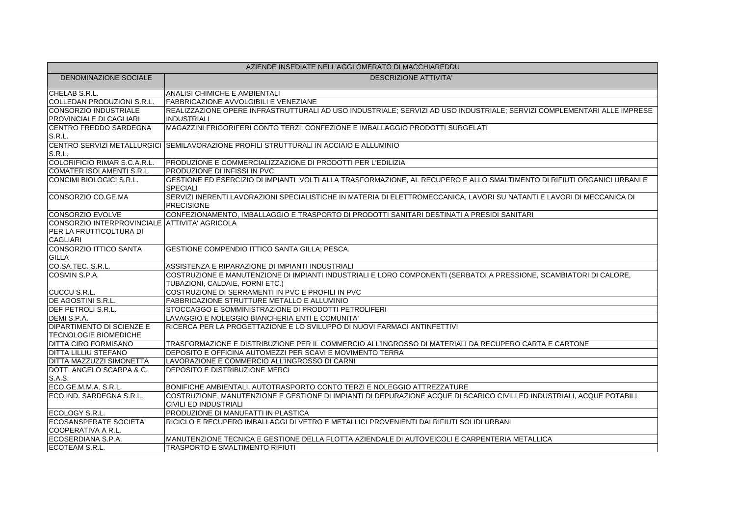| AZIENDE INSEDIATE NELL'AGGLOMERATO DI MACCHIAREDDU |                                                                                                                                                        |
|----------------------------------------------------|--------------------------------------------------------------------------------------------------------------------------------------------------------|
| DENOMINAZIONE SOCIALE                              | <b>DESCRIZIONE ATTIVITA'</b>                                                                                                                           |
| CHELAB S.R.L.                                      | <b>ANALISI CHIMICHE E AMBIENTALI</b>                                                                                                                   |
| COLLEDAN PRODUZIONI S.R.L.                         | <b>FABBRICAZIONE AVVOLGIBILI E VENEZIANE</b>                                                                                                           |
| CONSORZIO INDUSTRIALE                              | REALIZZAZIONE OPERE INFRASTRUTTURALI AD USO INDUSTRIALE; SERVIZI AD USO INDUSTRIALE; SERVIZI COMPLEMENTARI ALLE IMPRESE                                |
| PROVINCIALE DI CAGLIARI                            | <b>INDUSTRIALI</b>                                                                                                                                     |
| CENTRO FREDDO SARDEGNA                             | MAGAZZINI FRIGORIFERI CONTO TERZI; CONFEZIONE E IMBALLAGGIO PRODOTTI SURGELATI                                                                         |
| S.R.L.                                             |                                                                                                                                                        |
|                                                    | CENTRO SERVIZI METALLURGICI SEMILAVORAZIONE PROFILI STRUTTURALI IN ACCIAIO E ALLUMINIO                                                                 |
| S.R.L.                                             |                                                                                                                                                        |
| COLORIFICIO RIMAR S.C.A.R.L.                       | PRODUZIONE E COMMERCIALIZZAZIONE DI PRODOTTI PER L'EDILIZIA                                                                                            |
| COMATER ISOLAMENTI S.R.L.                          | PRODUZIONE DI INFISSI IN PVC                                                                                                                           |
| CONCIMI BIOLOGICI S.R.L.                           | GESTIONE ED ESERCIZIO DI IMPIANTI VOLTI ALLA TRASFORMAZIONE, AL RECUPERO E ALLO SMALTIMENTO DI RIFIUTI ORGANICI URBANI E<br><b>SPECIALI</b>            |
| CONSORZIO CO.GE.MA                                 | SERVIZI INERENTI LAVORAZIONI SPECIALISTICHE IN MATERIA DI ELETTROMECCANICA, LAVORI SU NATANTI E LAVORI DI MECCANICA DI<br>PRECISIONE                   |
| CONSORZIO EVOLVE                                   | CONFEZIONAMENTO, IMBALLAGGIO E TRASPORTO DI PRODOTTI SANITARI DESTINATI A PRESIDI SANITARI                                                             |
| CONSORZIO INTERPROVINCIALE ATTIVITA' AGRICOLA      |                                                                                                                                                        |
| PER LA FRUTTICOLTURA DI                            |                                                                                                                                                        |
| CAGLIARI                                           |                                                                                                                                                        |
| <b>CONSORZIO ITTICO SANTA</b><br><b>GILLA</b>      | GESTIONE COMPENDIO ITTICO SANTA GILLA; PESCA.                                                                                                          |
| CO.SA.TEC. S.R.L.                                  | ASSISTENZA E RIPARAZIONE DI IMPIANTI INDUSTRIALI                                                                                                       |
| COSMIN S.P.A.                                      | COSTRUZIONE E MANUTENZIONE DI IMPIANTI INDUSTRIALI E LORO COMPONENTI (SERBATOI A PRESSIONE, SCAMBIATORI DI CALORE,                                     |
|                                                    | TUBAZIONI, CALDAIE, FORNI ETC.)                                                                                                                        |
| CUCCU S.R.L.                                       | COSTRUZIONE DI SERRAMENTI IN PVC E PROFILI IN PVC                                                                                                      |
| DE AGOSTINI S.R.L.                                 | FABBRICAZIONE STRUTTURE METALLO E ALLUMINIO                                                                                                            |
| <b>DEF PETROLI S.R.L.</b>                          | STOCCAGGO E SOMMINISTRAZIONE DI PRODOTTI PETROLIFERI                                                                                                   |
| DEMI S.P.A.                                        | LAVAGGIO E NOLEGGIO BIANCHERIA ENTI E COMUNITA'                                                                                                        |
| <b>DIPARTIMENTO DI SCIENZE E</b>                   | RICERCA PER LA PROGETTAZIONE E LO SVILUPPO DI NUOVI FARMACI ANTINFETTIVI                                                                               |
| TECNOLOGIE BIOMEDICHE                              |                                                                                                                                                        |
| <b>DITTA CIRO FORMISANO</b>                        | TRASFORMAZIONE E DISTRIBUZIONE PER IL COMMERCIO ALL'INGROSSO DI MATERIALI DA RECUPERO CARTA E CARTONE                                                  |
| <b>DITTA LILLIU STEFANO</b>                        | DEPOSITO E OFFICINA AUTOMEZZI PER SCAVI E MOVIMENTO TERRA                                                                                              |
| <b>DITTA MAZZUZZI SIMONETTA</b>                    | LAVORAZIONE E COMMERCIO ALL'INGROSSO DI CARNI                                                                                                          |
| DOTT. ANGELO SCARPA & C.                           | DEPOSITO E DISTRIBUZIONE MERCI                                                                                                                         |
| S.A.S.                                             |                                                                                                                                                        |
| ECO.GE.M.M.A. S.R.L.                               | BONIFICHE AMBIENTALI, AUTOTRASPORTO CONTO TERZI E NOLEGGIO ATTREZZATURE                                                                                |
| ECO.IND. SARDEGNA S.R.L.                           | COSTRUZIONE, MANUTENZIONE E GESTIONE DI IMPIANTI DI DEPURAZIONE ACQUE DI SCARICO CIVILI ED INDUSTRIALI, ACQUE POTABILI<br><b>CIVILI ED INDUSTRIALI</b> |
| ECOLOGY S.R.L.                                     | <b>PRODUZIONE DI MANUFATTI IN PLASTICA</b>                                                                                                             |
| ECOSANSPERATE SOCIETA'                             | RICICLO E RECUPERO IMBALLAGGI DI VETRO E METALLICI PROVENIENTI DAI RIFIUTI SOLIDI URBANI                                                               |
| COOPERATIVA A R.L.                                 |                                                                                                                                                        |
| ECOSERDIANA S.P.A.                                 | MANUTENZIONE TECNICA E GESTIONE DELLA FLOTTA AZIENDALE DI AUTOVEICOLI E CARPENTERIA METALLICA                                                          |
| ECOTEAM S.R.L.                                     | TRASPORTO E SMALTIMENTO RIFIUTI                                                                                                                        |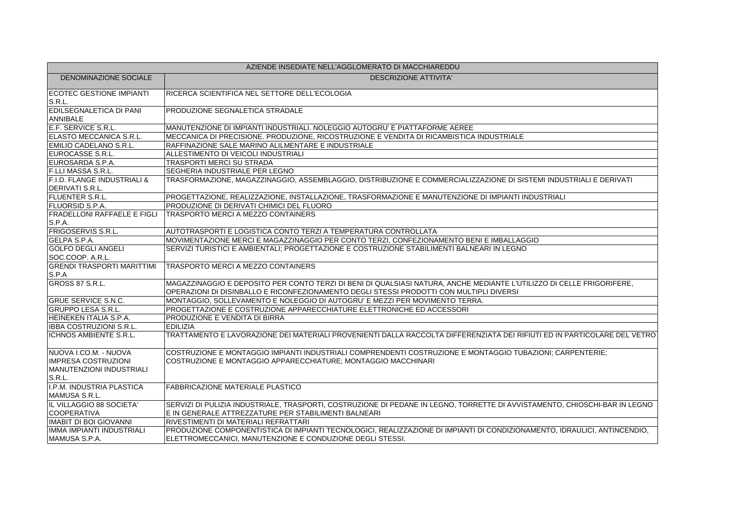| AZIENDE INSEDIATE NELL'AGGLOMERATO DI MACCHIAREDDU                                               |                                                                                                                                                                                                                  |
|--------------------------------------------------------------------------------------------------|------------------------------------------------------------------------------------------------------------------------------------------------------------------------------------------------------------------|
| DENOMINAZIONE SOCIALE                                                                            | <b>DESCRIZIONE ATTIVITA'</b>                                                                                                                                                                                     |
| <b>ECOTEC GESTIONE IMPIANTI</b><br>S.R.L.                                                        | RICERCA SCIENTIFICA NEL SETTORE DELL'ECOLOGIA                                                                                                                                                                    |
| <b>EDILSEGNALETICA DI PANI</b><br>ANNIBALE                                                       | <b>PRODUZIONE SEGNALETICA STRADALE</b>                                                                                                                                                                           |
| E.F. SERVICE S.R.L.                                                                              | MANUTENZIONE DI IMPIANTI INDUSTRIALI. NOLEGGIO AUTOGRU' E PIATTAFORME AEREE                                                                                                                                      |
| ELASTO MECCANICA S.R.L.                                                                          | MECCANICA DI PRECISIONE. PRODUZIONE, RICOSTRUZIONE E VENDITA DI RICAMBISTICA INDUSTRIALE                                                                                                                         |
| EMILIO CADELANO S.R.L.                                                                           | RAFFINAZIONE SALE MARINO ALILMENTARE E INDUSTRIALE                                                                                                                                                               |
| EUROCASSE S.R.L.                                                                                 | ALLESTIMENTO DI VEICOLI INDUSTRIALI                                                                                                                                                                              |
| EUROSARDA S.P.A.                                                                                 | TRASPORTI MERCI SU STRADA                                                                                                                                                                                        |
| F.LLI MASSA S.R.L.                                                                               | <b>SEGHERIA INDUSTRIALE PER LEGNO</b>                                                                                                                                                                            |
| F.I.D. FLANGE INDUSTRIALI &<br><b>DERIVATI S.R.L.</b>                                            | TRASFORMAZIONE, MAGAZZINAGGIO, ASSEMBLAGGIO, DISTRIBUZIONE E COMMERCIALIZZAZIONE DI SISTEMI INDUSTRIALI E DERIVATI                                                                                               |
| <b>FLUENTER S.R.L.</b>                                                                           | PROGETTAZIONE, REALIZZAZIONE, INSTALLAZIONE, TRASFORMAZIONE E MANUTENZIONE DI IMPIANTI INDUSTRIALI                                                                                                               |
| <b>FLUORSID S.P.A.</b>                                                                           | PRODUZIONE DI DERIVATI CHIMICI DEL FLUORO                                                                                                                                                                        |
| <b>FRADELLONI RAFFAELE E FIGLI</b>                                                               | TRASPORTO MERCI A MEZZO CONTAINERS                                                                                                                                                                               |
| S.P.A.                                                                                           |                                                                                                                                                                                                                  |
| <b>FRIGOSERVIS S.R.L.</b>                                                                        | AUTOTRASPORTI E LOGISTICA CONTO TERZI A TEMPERATURA CONTROLLATA                                                                                                                                                  |
| <b>GELPA S.P.A.</b>                                                                              | MOVIMENTAZIONE MERCI E MAGAZZINAGGIO PER CONTO TERZI, CONFEZIONAMENTO BENI E IMBALLAGGIO                                                                                                                         |
| <b>GOLFO DEGLI ANGELI</b>                                                                        | SERVIZI TURISTICI E AMBIENTALI; PROGETTAZIONE E COSTRUZIONE STABILIMENTI BALNEARI IN LEGNO                                                                                                                       |
| SOC.COOP. A.R.L.                                                                                 |                                                                                                                                                                                                                  |
| <b>GRENDI TRASPORTI MARITTIMI</b>                                                                | TRASPORTO MERCI A MEZZO CONTAINERS                                                                                                                                                                               |
| S.P.A                                                                                            |                                                                                                                                                                                                                  |
| GROSS 87 S.R.L.                                                                                  | MAGAZZINAGGIO E DEPOSITO PER CONTO TERZI DI BENI DI QUALSIASI NATURA, ANCHE MEDIANTE L'UTILIZZO DI CELLE FRIGORIFERE,<br>OPERAZIONI DI DISINBALLO E RICONFEZIONAMENTO DEGLI STESSI PRODOTTI CON MULTIPLI DIVERSI |
| <b>GRUE SERVICE S.N.C.</b>                                                                       | MONTAGGIO. SOLLEVAMENTO E NOLEGGIO DI AUTOGRU' E MEZZI PER MOVIMENTO TERRA.                                                                                                                                      |
| <b>GRUPPO LESA S.R.L.</b>                                                                        | PROGETTAZIONE E COSTRUZIONE APPARECCHIATURE ELETTRONICHE ED ACCESSORI                                                                                                                                            |
| HEINEKEN ITALIA S.P.A.                                                                           | <b>PRODUZIONE E VENDITA DI BIRRA</b>                                                                                                                                                                             |
| IBBA COSTRUZIONI S.R.L.                                                                          | <b>EDILIZIA</b>                                                                                                                                                                                                  |
| <b>ICHNOS AMBIENTE S.R.L.</b>                                                                    | TRATTAMENTO E LAVORAZIONE DEI MATERIALI PROVENIENTI DALLA RACCOLTA DIFFERENZIATA DEI RIFIUTI ED IN PARTICOLARE DEL VETRO                                                                                         |
| NUOVA I.CO.M. - NUOVA<br><b>IMPRESA COSTRUZIONI</b><br><b>MANUTENZIONI INDUSTRIALI</b><br>S.R.L. | COSTRUZIONE E MONTAGGIO IMPIANTI INDUSTRIALI COMPRENDENTI COSTRUZIONE E MONTAGGIO TUBAZIONI; CARPENTERIE;<br>COSTRUZIONE E MONTAGGIO APPARECCHIATURE; MONTAGGIO MACCHINARI                                       |
| I.P.M. INDUSTRIA PLASTICA<br>MAMUSA S.R.L.                                                       | <b>FABBRICAZIONE MATERIALE PLASTICO</b>                                                                                                                                                                          |
| IL VILLAGGIO 88 SOCIETA'                                                                         | SERVIZI DI PULIZIA INDUSTRIALE, TRASPORTI, COSTRUZIONE DI PEDANE IN LEGNO, TORRETTE DI AVVISTAMENTO, CHIOSCHI-BAR IN LEGNO                                                                                       |
| <b>COOPERATIVA</b>                                                                               | E IN GENERALE ATTREZZATURE PER STABILIMENTI BALNEARI                                                                                                                                                             |
| <b>IMABIT DI BOI GIOVANNI</b>                                                                    | RIVESTIMENTI DI MATERIALI REFRATTARI                                                                                                                                                                             |
| IMMA IMPIANTI INDUSTRIALI                                                                        | PRODUZIONE COMPONENTISTICA DI IMPIANTI TECNOLOGICI, REALIZZAZIONE DI IMPIANTI DI CONDIZIONAMENTO, IDRAULICI, ANTINCENDIO,                                                                                        |
| MAMUSA S.P.A.                                                                                    | ELETTROMECCANICI, MANUTENZIONE E CONDUZIONE DEGLI STESSI.                                                                                                                                                        |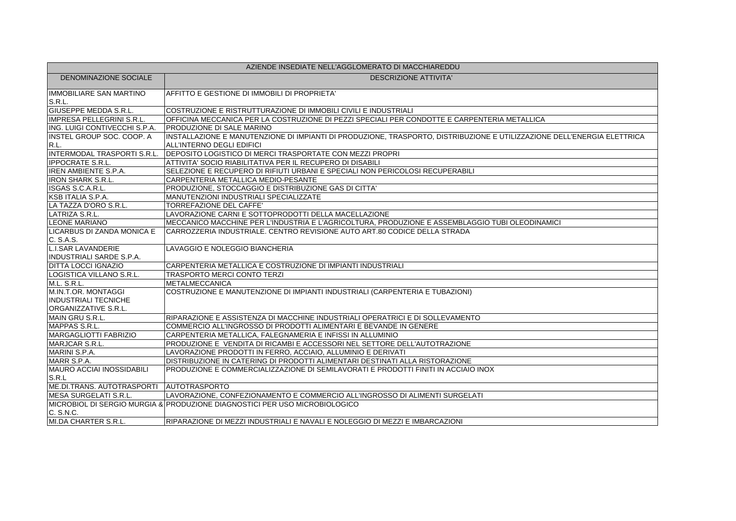| AZIENDE INSEDIATE NELL'AGGLOMERATO DI MACCHIAREDDU |                                                                                                                         |
|----------------------------------------------------|-------------------------------------------------------------------------------------------------------------------------|
| <b>DENOMINAZIONE SOCIALE</b>                       | <b>DESCRIZIONE ATTIVITA'</b>                                                                                            |
| <b>IMMOBILIARE SAN MARTINO</b><br>S.R.L.           | AFFITTO E GESTIONE DI IMMOBILI DI PROPRIETA'                                                                            |
| GIUSEPPE MEDDA S.R.L.                              | COSTRUZIONE E RISTRUTTURAZIONE DI IMMOBILI CIVILI E INDUSTRIALI                                                         |
| <b>IMPRESA PELLEGRINI S.R.L.</b>                   | OFFICINA MECCANICA PER LA COSTRUZIONE DI PEZZI SPECIALI PER CONDOTTE E CARPENTERIA METALLICA                            |
| ING. LUIGI CONTIVECCHI S.P.A.                      | <b>PRODUZIONE DI SALE MARINO</b>                                                                                        |
| INSTEL GROUP SOC. COOP. A                          | INSTALLAZIONE E MANUTENZIONE DI IMPIANTI DI PRODUZIONE, TRASPORTO, DISTRIBUZIONE E UTILIZZAZIONE DELL'ENERGIA ELETTRICA |
| R.L.                                               | ALL'INTERNO DEGLI EDIFICI                                                                                               |
| INTERMODAL TRASPORTI S.R.L.                        | DEPOSITO LOGISTICO DI MERCI TRASPORTATE CON MEZZI PROPRI                                                                |
| <b>IPPOCRATE S.R.L.</b>                            | ATTIVITA' SOCIO RIABILITATIVA PER IL RECUPERO DI DISABILI                                                               |
| <b>IREN AMBIENTE S.P.A.</b>                        | SELEZIONE E RECUPERO DI RIFIUTI URBANI E SPECIALI NON PERICOLOSI RECUPERABILI                                           |
| <b>IRON SHARK S.R.L.</b>                           | CARPENTERIA METALLICA MEDIO-PESANTE                                                                                     |
| ISGAS S.C.A.R.L.                                   | PRODUZIONE, STOCCAGGIO E DISTRIBUZIONE GAS DI CITTA'                                                                    |
| <b>KSB ITALIA S.P.A.</b>                           | MANUTENZIONI INDUSTRIALI SPECIALIZZATE                                                                                  |
| LA TAZZA D'ORO S.R.L.                              | TORREFAZIONE DEL CAFFE'                                                                                                 |
| LATRIZA S.R.L.                                     | LAVORAZIONE CARNI E SOTTOPRODOTTI DELLA MACELLAZIONE                                                                    |
| <b>LEONE MARIANO</b>                               | MECCANICO MACCHINE PER L'INDUSTRIA E L'AGRICOLTURA. PRODUZIONE E ASSEMBLAGGIO TUBI OLEODINAMICI                         |
| LICARBUS DI ZANDA MONICA E                         | CARROZZERIA INDUSTRIALE. CENTRO REVISIONE AUTO ART.80 CODICE DELLA STRADA                                               |
| C. S.A.S.                                          |                                                                                                                         |
| <b>L.I.SAR LAVANDERIE</b>                          | LAVAGGIO E NOLEGGIO BIANCHERIA                                                                                          |
| <b>INDUSTRIALI SARDE S.P.A.</b>                    |                                                                                                                         |
| <b>DITTA LOCCI IGNAZIO</b>                         | CARPENTERIA METALLICA E COSTRUZIONE DI IMPIANTI INDUSTRIALI                                                             |
| LOGISTICA VILLANO S.R.L.                           | <b>TRASPORTO MERCI CONTO TERZI</b>                                                                                      |
| M.L. S.R.L.                                        | METALMECCANICA                                                                                                          |
| M.IN.T.OR. MONTAGGI                                | COSTRUZIONE E MANUTENZIONE DI IMPIANTI INDUSTRIALI (CARPENTERIA E TUBAZIONI)                                            |
| <b>INDUSTRIALI TECNICHE</b>                        |                                                                                                                         |
| ORGANIZZATIVE S.R.L.                               |                                                                                                                         |
| MAIN GRU S.R.L.                                    | RIPARAZIONE E ASSISTENZA DI MACCHINE INDUSTRIALI OPERATRICI E DI SOLLEVAMENTO                                           |
| MAPPAS S.R.L.                                      | COMMERCIO ALL'INGROSSO DI PRODOTTI ALIMENTARI E BEVANDE IN GENERE                                                       |
| <b>MARGAGLIOTTI FABRIZIO</b>                       | CARPENTERIA METALLICA, FALEGNAMERIA E INFISSI IN ALLUMINIO                                                              |
| MARJCAR S.R.L.                                     | PRODUZIONE E VENDITA DI RICAMBI E ACCESSORI NEL SETTORE DELL'AUTOTRAZIONE                                               |
| MARINI S.P.A.                                      | LAVORAZIONE PRODOTTI IN FERRO, ACCIAIO, ALLUMINIO E DERIVATI                                                            |
| MARR S.P.A.                                        | DISTRIBUZIONE IN CATERING DI PRODOTTI ALIMENTARI DESTINATI ALLA RISTORAZIONE                                            |
| <b>MAURO ACCIAI INOSSIDABILI</b>                   | PRODUZIONE E COMMERCIALIZZAZIONE DI SEMILAVORATI E PRODOTTI FINITI IN ACCIAIO INOX                                      |
| S.R.L                                              |                                                                                                                         |
| ME.DI.TRANS. AUTOTRASPORTI   AUTOTRASPORTO         |                                                                                                                         |
| MESA SURGELATI S.R.L.                              | LAVORAZIONE. CONFEZIONAMENTO E COMMERCIO ALL'INGROSSO DI ALIMENTI SURGELATI                                             |
|                                                    | MICROBIOL DI SERGIO MURGIA & PRODUZIONE DIAGNOSTICI PER USO MICROBIOLOGICO                                              |
| C. S.N.C.                                          |                                                                                                                         |
| MI.DA CHARTER S.R.L.                               | RIPARAZIONE DI MEZZI INDUSTRIALI E NAVALI E NOLEGGIO DI MEZZI E IMBARCAZIONI                                            |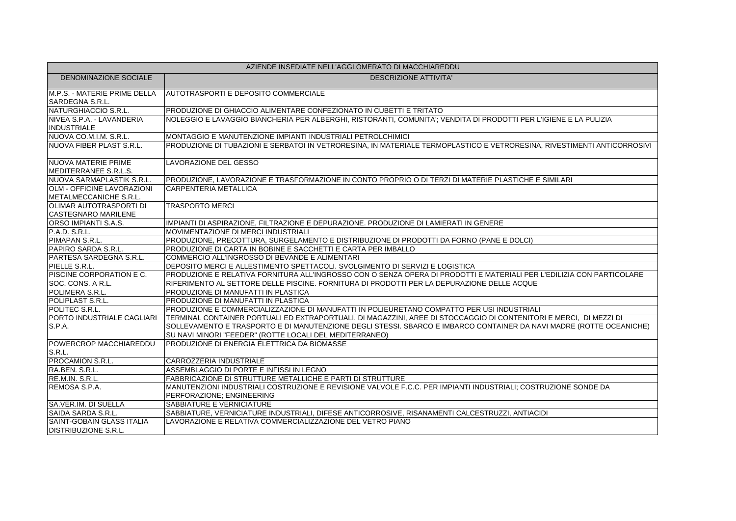| AZIENDE INSEDIATE NELL'AGGLOMERATO DI MACCHIAREDDU          |                                                                                                                                                                                                                                                                                                      |
|-------------------------------------------------------------|------------------------------------------------------------------------------------------------------------------------------------------------------------------------------------------------------------------------------------------------------------------------------------------------------|
| DENOMINAZIONE SOCIALE                                       | <b>DESCRIZIONE ATTIVITA'</b>                                                                                                                                                                                                                                                                         |
| M.P.S. - MATERIE PRIME DELLA<br>SARDEGNA S.R.L.             | <b>AUTOTRASPORTI E DEPOSITO COMMERCIALE</b>                                                                                                                                                                                                                                                          |
| NATURGHIACCIO S.R.L.                                        | PRODUZIONE DI GHIACCIO ALIMENTARE CONFEZIONATO IN CUBETTI E TRITATO                                                                                                                                                                                                                                  |
| NIVEA S.P.A. - LAVANDERIA<br><b>INDUSTRIALE</b>             | NOLEGGIO E LAVAGGIO BIANCHERIA PER ALBERGHI, RISTORANTI, COMUNITA'; VENDITA DI PRODOTTI PER L'IGIENE E LA PULIZIA                                                                                                                                                                                    |
| NUOVA CO.M.I.M. S.R.L.                                      | MONTAGGIO E MANUTENZIONE IMPIANTI INDUSTRIALI PETROLCHIMICI                                                                                                                                                                                                                                          |
| NUOVA FIBER PLAST S.R.L.                                    | PRODUZIONE DI TUBAZIONI E SERBATOI IN VETRORESINA, IN MATERIALE TERMOPLASTICO E VETRORESINA, RIVESTIMENTI ANTICORROSIVI                                                                                                                                                                              |
| <b>NUOVA MATERIE PRIME</b><br>MEDITERRANEE S.R.L.S.         | LAVORAZIONE DEL GESSO                                                                                                                                                                                                                                                                                |
| NUOVA SARMAPLASTIK S.R.L.                                   | PRODUZIONE, LAVORAZIONE E TRASFORMAZIONE IN CONTO PROPRIO O DI TERZI DI MATERIE PLASTICHE E SIMILARI                                                                                                                                                                                                 |
| <b>OLM - OFFICINE LAVORAZIONI</b><br>METALMECCANICHE S.R.L. | <b>CARPENTERIA METALLICA</b>                                                                                                                                                                                                                                                                         |
| OLIMAR AUTOTRASPORTI DI<br><b>CASTEGNARO MARILENE</b>       | <b>TRASPORTO MERCI</b>                                                                                                                                                                                                                                                                               |
| ORSO IMPIANTI S.A.S.                                        | IMPIANTI DI ASPIRAZIONE, FILTRAZIONE E DEPURAZIONE. PRODUZIONE DI LAMIERATI IN GENERE                                                                                                                                                                                                                |
| P.A.D. S.R.L.                                               | MOVIMENTAZIONE DI MERCI INDUSTRIALI                                                                                                                                                                                                                                                                  |
| PIMAPAN S.R.L.                                              | PRODUZIONE, PRECOTTURA, SURGELAMENTO E DISTRIBUZIONE DI PRODOTTI DA FORNO (PANE E DOLCI)                                                                                                                                                                                                             |
| PAPIRO SARDA S.R.L.                                         | PRODUZIONE DI CARTA IN BOBINE E SACCHETTI E CARTA PER IMBALLO                                                                                                                                                                                                                                        |
| PARTESA SARDEGNA S.R.L.                                     | COMMERCIO ALL'INGROSSO DI BEVANDE E ALIMENTARI                                                                                                                                                                                                                                                       |
| PIELLE S.R.L.                                               | DEPOSITO MERCI E ALLESTIMENTO SPETTACOLI. SVOLGIMENTO DI SERVIZI E LOGISTICA                                                                                                                                                                                                                         |
| PISCINE CORPORATION E C.<br>SOC. CONS. A R.L.               | PRODUZIONE E RELATIVA FORNITURA ALL'INGROSSO CON O SENZA OPERA DI PRODOTTI E MATERIALI PER L'EDILIZIA CON PARTICOLARE<br>RIFERIMENTO AL SETTORE DELLE PISCINE. FORNITURA DI PRODOTTI PER LA DEPURAZIONE DELLE ACQUE                                                                                  |
| POLIMERA S.R.L.                                             | PRODUZIONE DI MANUFATTI IN PLASTICA                                                                                                                                                                                                                                                                  |
| POLIPLAST S.R.L.                                            | PRODUZIONE DI MANUFATTI IN PLASTICA                                                                                                                                                                                                                                                                  |
| POLITEC S.R.L.                                              | PRODUZIONE E COMMERCIALIZZAZIONE DI MANUFATTI IN POLIEURETANO COMPATTO PER USI INDUSTRIALI                                                                                                                                                                                                           |
| PORTO INDUSTRIALE CAGLIARI<br>S.P.A.                        | TERMINAL CONTAINER PORTUALI ED EXTRAPORTUALI, DI MAGAZZINI, AREE DI STOCCAGGIO DI CONTENITORI E MERCI, DI MEZZI DI<br>SOLLEVAMENTO E TRASPORTO E DI MANUTENZIONE DEGLI STESSI. SBARCO E IMBARCO CONTAINER DA NAVI MADRE (ROTTE OCEANICHE)<br>SU NAVI MINORI "FEEDER" (ROTTE LOCALI DEL MEDITERRANEO) |
| POWERCROP MACCHIAREDDU<br>S.R.L.                            | PRODUZIONE DI ENERGIA ELETTRICA DA BIOMASSE                                                                                                                                                                                                                                                          |
| PROCAMION S.R.L.                                            | CARROZZERIA INDUSTRIALE                                                                                                                                                                                                                                                                              |
| RA.BEN. S.R.L.                                              | ASSEMBLAGGIO DI PORTE E INFISSI IN LEGNO                                                                                                                                                                                                                                                             |
| RE.M.IN. S.R.L.                                             | FABBRICAZIONE DI STRUTTURE METALLICHE E PARTI DI STRUTTURE                                                                                                                                                                                                                                           |
| REMOSA S.P.A.                                               | MANUTENZIONI INDUSTRIALI COSTRUZIONE E REVISIONE VALVOLE F.C.C. PER IMPIANTI INDUSTRIALI; COSTRUZIONE SONDE DA<br>PERFORAZIONE; ENGINEERING                                                                                                                                                          |
| SA.VER.IM. DI SUELLA                                        | SABBIATURE E VERNICIATURE                                                                                                                                                                                                                                                                            |
| SAIDA SARDA S.R.L.                                          | SABBIATURE, VERNICIATURE INDUSTRIALI, DIFESE ANTICORROSIVE, RISANAMENTI CALCESTRUZZI, ANTIACIDI                                                                                                                                                                                                      |
| SAINT-GOBAIN GLASS ITALIA<br><b>DISTRIBUZIONE S.R.L.</b>    | LAVORAZIONE E RELATIVA COMMERCIALIZZAZIONE DEL VETRO PIANO                                                                                                                                                                                                                                           |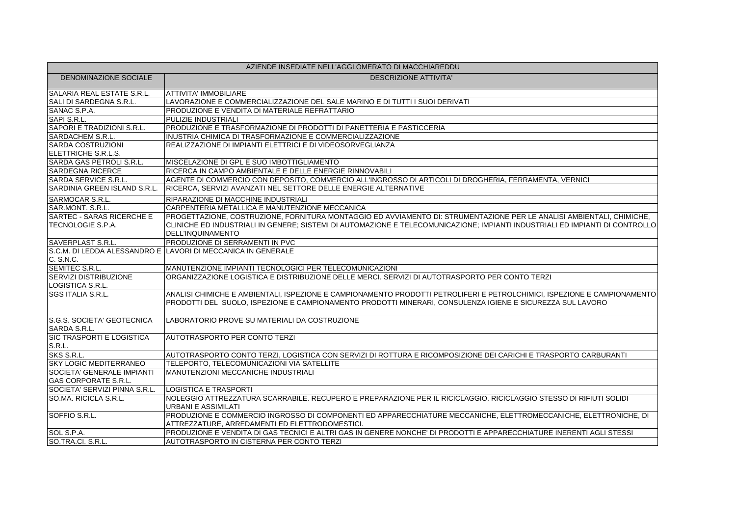| AZIENDE INSEDIATE NELL'AGGLOMERATO DI MACCHIAREDDU               |                                                                                                                                                                                                                                       |
|------------------------------------------------------------------|---------------------------------------------------------------------------------------------------------------------------------------------------------------------------------------------------------------------------------------|
| DENOMINAZIONE SOCIALE                                            | <b>DESCRIZIONE ATTIVITA'</b>                                                                                                                                                                                                          |
| SALARIA REAL ESTATE S.R.L.                                       | ATTIVITA' IMMOBILIARE                                                                                                                                                                                                                 |
| SALI DI SARDEGNA S.R.L.                                          | LAVORAZIONE E COMMERCIALIZZAZIONE DEL SALE MARINO E DI TUTTI I SUOI DERIVATI                                                                                                                                                          |
| SANAC S.P.A.                                                     | PRODUZIONE E VENDITA DI MATERIALE REFRATTARIO                                                                                                                                                                                         |
| SAPI S.R.L.                                                      | PULIZIE INDUSTRIALI                                                                                                                                                                                                                   |
| SAPORI E TRADIZIONI S.R.L.                                       | PRODUZIONE E TRASFORMAZIONE DI PRODOTTI DI PANETTERIA E PASTICCERIA                                                                                                                                                                   |
| SARDACHEM S.R.L.                                                 | INUSTRIA CHIMICA DI TRASFORMAZIONE E COMMERCIALIZZAZIONE                                                                                                                                                                              |
| <b>SARDA COSTRUZIONI</b>                                         | REALIZZAZIONE DI IMPIANTI ELETTRICI E DI VIDEOSORVEGLIANZA                                                                                                                                                                            |
| ELETTRICHE S.R.L.S.                                              |                                                                                                                                                                                                                                       |
| SARDA GAS PETROLI S.R.L.                                         | MISCELAZIONE DI GPL E SUO IMBOTTIGLIAMENTO                                                                                                                                                                                            |
| <b>SARDEGNA RICERCE</b>                                          | RICERCA IN CAMPO AMBIENTALE E DELLE ENERGIE RINNOVABILI                                                                                                                                                                               |
| SARDA SERVICE S.R.L.                                             | AGENTE DI COMMERCIO CON DEPOSITO, COMMERCIO ALL'INGROSSO DI ARTICOLI DI DROGHERIA, FERRAMENTA, VERNICI                                                                                                                                |
| SARDINIA GREEN ISLAND S.R.L.                                     | RICERCA, SERVIZI AVANZATI NEL SETTORE DELLE ENERGIE ALTERNATIVE                                                                                                                                                                       |
| SARMOCAR S.R.L.                                                  | RIPARAZIONE DI MACCHINE INDUSTRIALI                                                                                                                                                                                                   |
| SAR.MONT. S.R.L.                                                 | CARPENTERIA METALLICA E MANUTENZIONE MECCANICA                                                                                                                                                                                        |
| SARTEC - SARAS RICERCHE E                                        | PROGETTAZIONE, COSTRUZIONE, FORNITURA MONTAGGIO ED AVVIAMENTO DI: STRUMENTAZIONE PER LE ANALISI AMBIENTALI, CHIMICHE,                                                                                                                 |
| TECNOLOGIE S.P.A.                                                | CLINICHE ED INDUSTRIALI IN GENERE: SISTEMI DI AUTOMAZIONE E TELECOMUNICAZIONE: IMPIANTI INDUSTRIALI ED IMPIANTI DI CONTROLLO<br><b>DELL'INQUINAMENTO</b>                                                                              |
| <b>SAVERPLAST S.R.L.</b>                                         | PRODUZIONE DI SERRAMENTI IN PVC                                                                                                                                                                                                       |
| C. S.N.C.                                                        | S.C.M. DI LEDDA ALESSANDRO E LAVORI DI MECCANICA IN GENERALE                                                                                                                                                                          |
| SEMITEC S.R.L.                                                   | MANUTENZIONE IMPIANTI TECNOLOGICI PER TELECOMUNICAZIONI                                                                                                                                                                               |
| SERVIZI DISTRIBUZIONE                                            | ORGANIZZAZIONE LOGISTICA E DISTRIBUZIONE DELLE MERCI. SERVIZI DI AUTOTRASPORTO PER CONTO TERZI                                                                                                                                        |
| LOGISTICA S.R.L.                                                 |                                                                                                                                                                                                                                       |
| <b>SGS ITALIA S.R.L.</b>                                         | ANALISI CHIMICHE E AMBIENTALI, ISPEZIONE E CAMPIONAMENTO PRODOTTI PETROLIFERI E PETROLCHIMICI, ISPEZIONE E CAMPIONAMENTO<br>PRODOTTI DEL SUOLO, ISPEZIONE E CAMPIONAMENTO PRODOTTI MINERARI, CONSULENZA IGIENE E SICUREZZA SUL LAVORO |
| S.G.S. SOCIETA' GEOTECNICA<br>SARDA S.R.L.                       | LABORATORIO PROVE SU MATERIALI DA COSTRUZIONE                                                                                                                                                                                         |
| SIC TRASPORTI E LOGISTICA<br>S.R.L.                              | <b>AUTOTRASPORTO PER CONTO TERZI</b>                                                                                                                                                                                                  |
| SKS S.R.L.                                                       | AUTOTRASPORTO CONTO TERZI, LOGISTICA CON SERVIZI DI ROTTURA E RICOMPOSIZIONE DEI CARICHI E TRASPORTO CARBURANTI                                                                                                                       |
| <b>SKY LOGIC MEDITERRANEO</b>                                    | TELEPORTO. TELECOMUNICAZIONI VIA SATELLITE                                                                                                                                                                                            |
| <b>SOCIETA' GENERALE IMPIANTI</b><br><b>GAS CORPORATE S.R.L.</b> | MANUTENZIONI MECCANICHE INDUSTRIALI                                                                                                                                                                                                   |
| SOCIETA' SERVIZI PINNA S.R.L.                                    | <b>LOGISTICA E TRASPORTI</b>                                                                                                                                                                                                          |
| SO.MA. RICICLA S.R.L.                                            | NOLEGGIO ATTREZZATURA SCARRABILE. RECUPERO E PREPARAZIONE PER IL RICICLAGGIO. RICICLAGGIO STESSO DI RIFIUTI SOLIDI<br>URBANI E ASSIMILATI                                                                                             |
| SOFFIO S.R.L.                                                    | PRODUZIONE E COMMERCIO INGROSSO DI COMPONENTI ED APPARECCHIATURE MECCANICHE, ELETTROMECCANICHE, ELETTRONICHE, DI<br>ATTREZZATURE, ARREDAMENTI ED ELETTRODOMESTICI.                                                                    |
| SOL S.P.A.                                                       | PRODUZIONE E VENDITA DI GAS TECNICI E ALTRI GAS IN GENERE NONCHE' DI PRODOTTI E APPARECCHIATURE INERENTI AGLI STESSI                                                                                                                  |
| SO.TRA.CI. S.R.L.                                                | AUTOTRASPORTO IN CISTERNA PER CONTO TERZI                                                                                                                                                                                             |